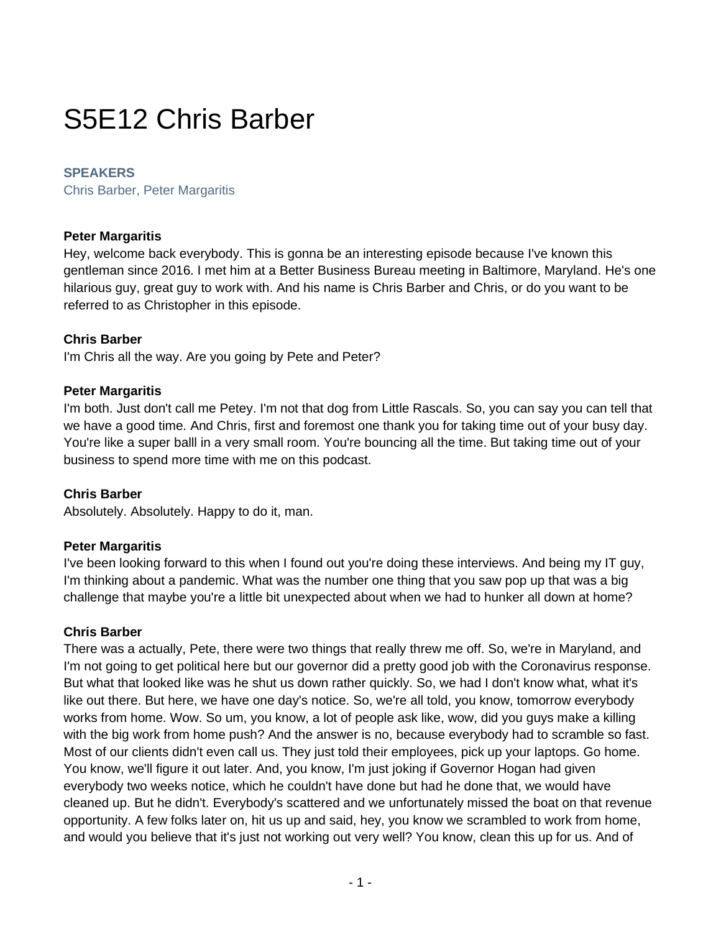# S5E12 Chris Barber

# **SPEAKERS**

Chris Barber, Peter Margaritis

#### **Peter Margaritis**

Hey, welcome back everybody. This is gonna be an interesting episode because I've known this gentleman since 2016. I met him at a Better Business Bureau meeting in Baltimore, Maryland. He's one hilarious guy, great guy to work with. And his name is Chris Barber and Chris, or do you want to be referred to as Christopher in this episode.

# **Chris Barber**

I'm Chris all the way. Are you going by Pete and Peter?

#### **Peter Margaritis**

I'm both. Just don't call me Petey. I'm not that dog from Little Rascals. So, you can say you can tell that we have a good time. And Chris, first and foremost one thank you for taking time out of your busy day. You're like a super balll in a very small room. You're bouncing all the time. But taking time out of your business to spend more time with me on this podcast.

#### **Chris Barber**

Absolutely. Absolutely. Happy to do it, man.

#### **Peter Margaritis**

I've been looking forward to this when I found out you're doing these interviews. And being my IT guy, I'm thinking about a pandemic. What was the number one thing that you saw pop up that was a big challenge that maybe you're a little bit unexpected about when we had to hunker all down at home?

#### **Chris Barber**

There was a actually, Pete, there were two things that really threw me off. So, we're in Maryland, and I'm not going to get political here but our governor did a pretty good job with the Coronavirus response. But what that looked like was he shut us down rather quickly. So, we had I don't know what, what it's like out there. But here, we have one day's notice. So, we're all told, you know, tomorrow everybody works from home. Wow. So um, you know, a lot of people ask like, wow, did you guys make a killing with the big work from home push? And the answer is no, because everybody had to scramble so fast. Most of our clients didn't even call us. They just told their employees, pick up your laptops. Go home. You know, we'll figure it out later. And, you know, I'm just joking if Governor Hogan had given everybody two weeks notice, which he couldn't have done but had he done that, we would have cleaned up. But he didn't. Everybody's scattered and we unfortunately missed the boat on that revenue opportunity. A few folks later on, hit us up and said, hey, you know we scrambled to work from home, and would you believe that it's just not working out very well? You know, clean this up for us. And of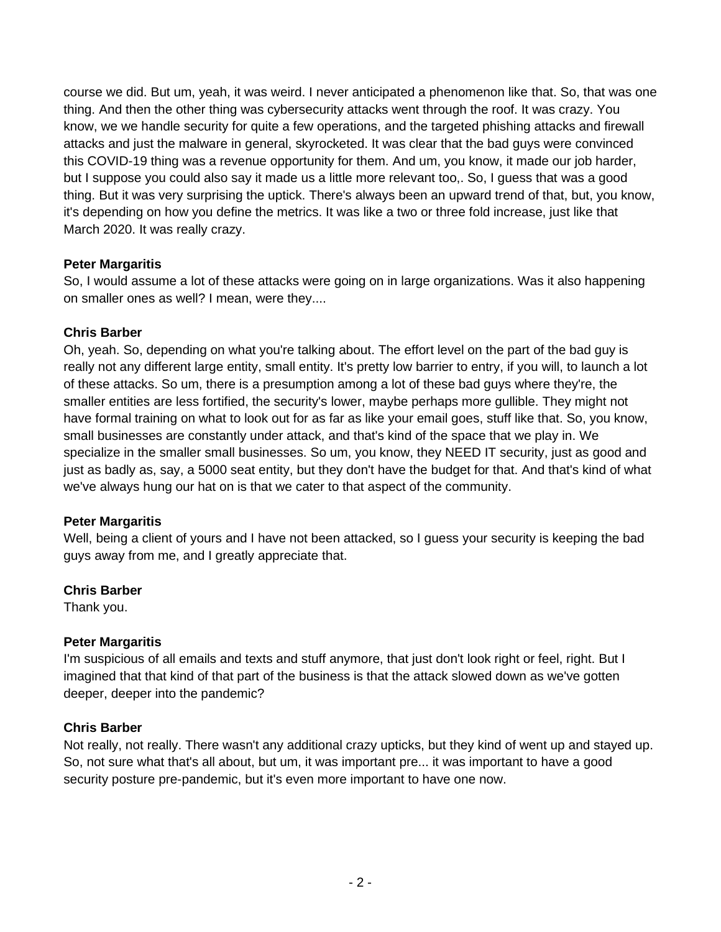course we did. But um, yeah, it was weird. I never anticipated a phenomenon like that. So, that was one thing. And then the other thing was cybersecurity attacks went through the roof. It was crazy. You know, we we handle security for quite a few operations, and the targeted phishing attacks and firewall attacks and just the malware in general, skyrocketed. It was clear that the bad guys were convinced this COVID-19 thing was a revenue opportunity for them. And um, you know, it made our job harder, but I suppose you could also say it made us a little more relevant too,. So, I guess that was a good thing. But it was very surprising the uptick. There's always been an upward trend of that, but, you know, it's depending on how you define the metrics. It was like a two or three fold increase, just like that March 2020. It was really crazy.

# **Peter Margaritis**

So, I would assume a lot of these attacks were going on in large organizations. Was it also happening on smaller ones as well? I mean, were they....

# **Chris Barber**

Oh, yeah. So, depending on what you're talking about. The effort level on the part of the bad guy is really not any different large entity, small entity. It's pretty low barrier to entry, if you will, to launch a lot of these attacks. So um, there is a presumption among a lot of these bad guys where they're, the smaller entities are less fortified, the security's lower, maybe perhaps more gullible. They might not have formal training on what to look out for as far as like your email goes, stuff like that. So, you know, small businesses are constantly under attack, and that's kind of the space that we play in. We specialize in the smaller small businesses. So um, you know, they NEED IT security, just as good and just as badly as, say, a 5000 seat entity, but they don't have the budget for that. And that's kind of what we've always hung our hat on is that we cater to that aspect of the community.

#### **Peter Margaritis**

Well, being a client of yours and I have not been attacked, so I guess your security is keeping the bad guys away from me, and I greatly appreciate that.

# **Chris Barber**

Thank you.

# **Peter Margaritis**

I'm suspicious of all emails and texts and stuff anymore, that just don't look right or feel, right. But I imagined that that kind of that part of the business is that the attack slowed down as we've gotten deeper, deeper into the pandemic?

#### **Chris Barber**

Not really, not really. There wasn't any additional crazy upticks, but they kind of went up and stayed up. So, not sure what that's all about, but um, it was important pre... it was important to have a good security posture pre-pandemic, but it's even more important to have one now.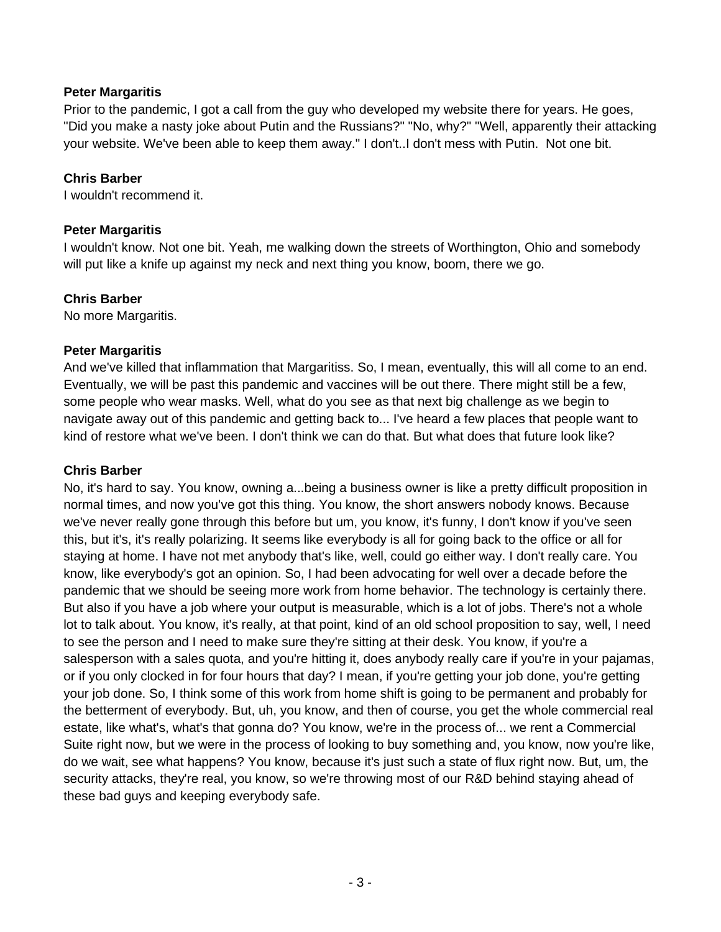Prior to the pandemic, I got a call from the guy who developed my website there for years. He goes, "Did you make a nasty joke about Putin and the Russians?" "No, why?" "Well, apparently their attacking your website. We've been able to keep them away." I don't..I don't mess with Putin. Not one bit.

### **Chris Barber**

I wouldn't recommend it.

# **Peter Margaritis**

I wouldn't know. Not one bit. Yeah, me walking down the streets of Worthington, Ohio and somebody will put like a knife up against my neck and next thing you know, boom, there we go.

# **Chris Barber**

No more Margaritis.

# **Peter Margaritis**

And we've killed that inflammation that Margaritiss. So, I mean, eventually, this will all come to an end. Eventually, we will be past this pandemic and vaccines will be out there. There might still be a few, some people who wear masks. Well, what do you see as that next big challenge as we begin to navigate away out of this pandemic and getting back to... I've heard a few places that people want to kind of restore what we've been. I don't think we can do that. But what does that future look like?

### **Chris Barber**

No, it's hard to say. You know, owning a...being a business owner is like a pretty difficult proposition in normal times, and now you've got this thing. You know, the short answers nobody knows. Because we've never really gone through this before but um, you know, it's funny, I don't know if you've seen this, but it's, it's really polarizing. It seems like everybody is all for going back to the office or all for staying at home. I have not met anybody that's like, well, could go either way. I don't really care. You know, like everybody's got an opinion. So, I had been advocating for well over a decade before the pandemic that we should be seeing more work from home behavior. The technology is certainly there. But also if you have a job where your output is measurable, which is a lot of jobs. There's not a whole lot to talk about. You know, it's really, at that point, kind of an old school proposition to say, well, I need to see the person and I need to make sure they're sitting at their desk. You know, if you're a salesperson with a sales quota, and you're hitting it, does anybody really care if you're in your pajamas, or if you only clocked in for four hours that day? I mean, if you're getting your job done, you're getting your job done. So, I think some of this work from home shift is going to be permanent and probably for the betterment of everybody. But, uh, you know, and then of course, you get the whole commercial real estate, like what's, what's that gonna do? You know, we're in the process of... we rent a Commercial Suite right now, but we were in the process of looking to buy something and, you know, now you're like, do we wait, see what happens? You know, because it's just such a state of flux right now. But, um, the security attacks, they're real, you know, so we're throwing most of our R&D behind staying ahead of these bad guys and keeping everybody safe.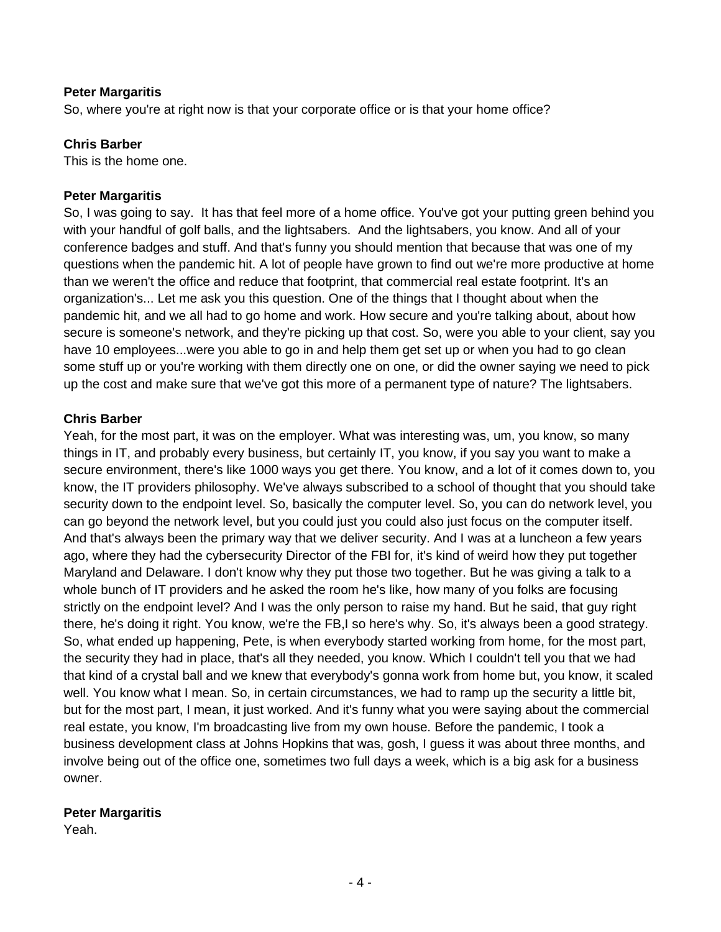So, where you're at right now is that your corporate office or is that your home office?

#### **Chris Barber**

This is the home one.

#### **Peter Margaritis**

So, I was going to say. It has that feel more of a home office. You've got your putting green behind you with your handful of golf balls, and the lightsabers. And the lightsabers, you know. And all of your conference badges and stuff. And that's funny you should mention that because that was one of my questions when the pandemic hit. A lot of people have grown to find out we're more productive at home than we weren't the office and reduce that footprint, that commercial real estate footprint. It's an organization's... Let me ask you this question. One of the things that I thought about when the pandemic hit, and we all had to go home and work. How secure and you're talking about, about how secure is someone's network, and they're picking up that cost. So, were you able to your client, say you have 10 employees...were you able to go in and help them get set up or when you had to go clean some stuff up or you're working with them directly one on one, or did the owner saying we need to pick up the cost and make sure that we've got this more of a permanent type of nature? The lightsabers.

#### **Chris Barber**

Yeah, for the most part, it was on the employer. What was interesting was, um, you know, so many things in IT, and probably every business, but certainly IT, you know, if you say you want to make a secure environment, there's like 1000 ways you get there. You know, and a lot of it comes down to, you know, the IT providers philosophy. We've always subscribed to a school of thought that you should take security down to the endpoint level. So, basically the computer level. So, you can do network level, you can go beyond the network level, but you could just you could also just focus on the computer itself. And that's always been the primary way that we deliver security. And I was at a luncheon a few years ago, where they had the cybersecurity Director of the FBI for, it's kind of weird how they put together Maryland and Delaware. I don't know why they put those two together. But he was giving a talk to a whole bunch of IT providers and he asked the room he's like, how many of you folks are focusing strictly on the endpoint level? And I was the only person to raise my hand. But he said, that guy right there, he's doing it right. You know, we're the FB,I so here's why. So, it's always been a good strategy. So, what ended up happening, Pete, is when everybody started working from home, for the most part, the security they had in place, that's all they needed, you know. Which I couldn't tell you that we had that kind of a crystal ball and we knew that everybody's gonna work from home but, you know, it scaled well. You know what I mean. So, in certain circumstances, we had to ramp up the security a little bit, but for the most part, I mean, it just worked. And it's funny what you were saying about the commercial real estate, you know, I'm broadcasting live from my own house. Before the pandemic, I took a business development class at Johns Hopkins that was, gosh, I guess it was about three months, and involve being out of the office one, sometimes two full days a week, which is a big ask for a business owner.

#### **Peter Margaritis**

Yeah.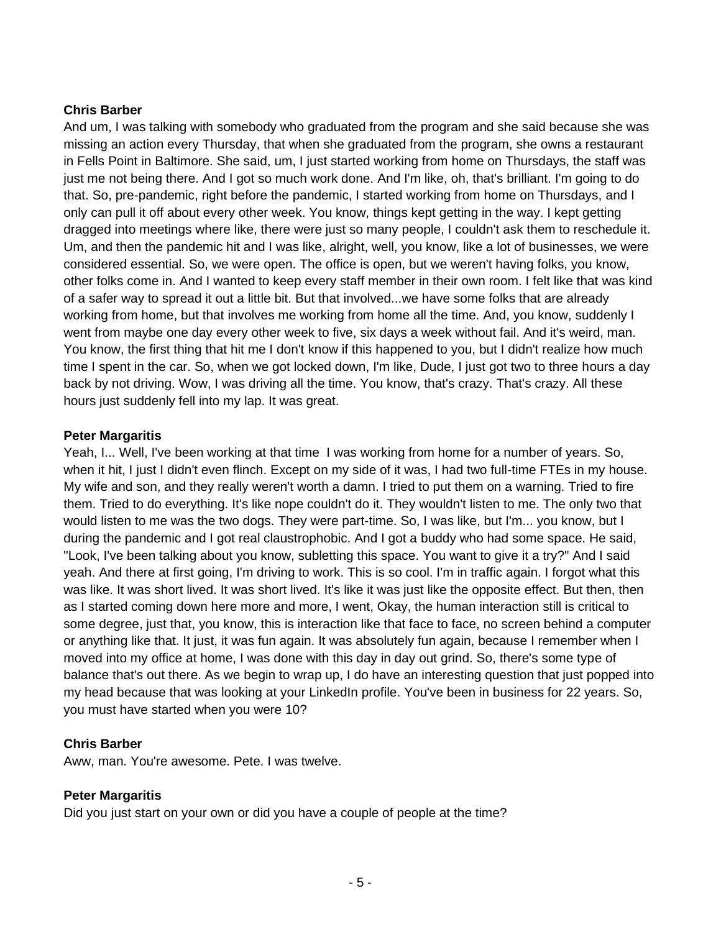# **Chris Barber**

And um, I was talking with somebody who graduated from the program and she said because she was missing an action every Thursday, that when she graduated from the program, she owns a restaurant in Fells Point in Baltimore. She said, um, I just started working from home on Thursdays, the staff was just me not being there. And I got so much work done. And I'm like, oh, that's brilliant. I'm going to do that. So, pre-pandemic, right before the pandemic, I started working from home on Thursdays, and I only can pull it off about every other week. You know, things kept getting in the way. I kept getting dragged into meetings where like, there were just so many people, I couldn't ask them to reschedule it. Um, and then the pandemic hit and I was like, alright, well, you know, like a lot of businesses, we were considered essential. So, we were open. The office is open, but we weren't having folks, you know, other folks come in. And I wanted to keep every staff member in their own room. I felt like that was kind of a safer way to spread it out a little bit. But that involved...we have some folks that are already working from home, but that involves me working from home all the time. And, you know, suddenly I went from maybe one day every other week to five, six days a week without fail. And it's weird, man. You know, the first thing that hit me I don't know if this happened to you, but I didn't realize how much time I spent in the car. So, when we got locked down, I'm like, Dude, I just got two to three hours a day back by not driving. Wow, I was driving all the time. You know, that's crazy. That's crazy. All these hours just suddenly fell into my lap. It was great.

#### **Peter Margaritis**

Yeah, I... Well, I've been working at that time I was working from home for a number of years. So, when it hit, I just I didn't even flinch. Except on my side of it was, I had two full-time FTEs in my house. My wife and son, and they really weren't worth a damn. I tried to put them on a warning. Tried to fire them. Tried to do everything. It's like nope couldn't do it. They wouldn't listen to me. The only two that would listen to me was the two dogs. They were part-time. So, I was like, but I'm... you know, but I during the pandemic and I got real claustrophobic. And I got a buddy who had some space. He said, "Look, I've been talking about you know, subletting this space. You want to give it a try?" And I said yeah. And there at first going, I'm driving to work. This is so cool. I'm in traffic again. I forgot what this was like. It was short lived. It was short lived. It's like it was just like the opposite effect. But then, then as I started coming down here more and more, I went, Okay, the human interaction still is critical to some degree, just that, you know, this is interaction like that face to face, no screen behind a computer or anything like that. It just, it was fun again. It was absolutely fun again, because I remember when I moved into my office at home, I was done with this day in day out grind. So, there's some type of balance that's out there. As we begin to wrap up, I do have an interesting question that just popped into my head because that was looking at your LinkedIn profile. You've been in business for 22 years. So, you must have started when you were 10?

#### **Chris Barber**

Aww, man. You're awesome. Pete. I was twelve.

#### **Peter Margaritis**

Did you just start on your own or did you have a couple of people at the time?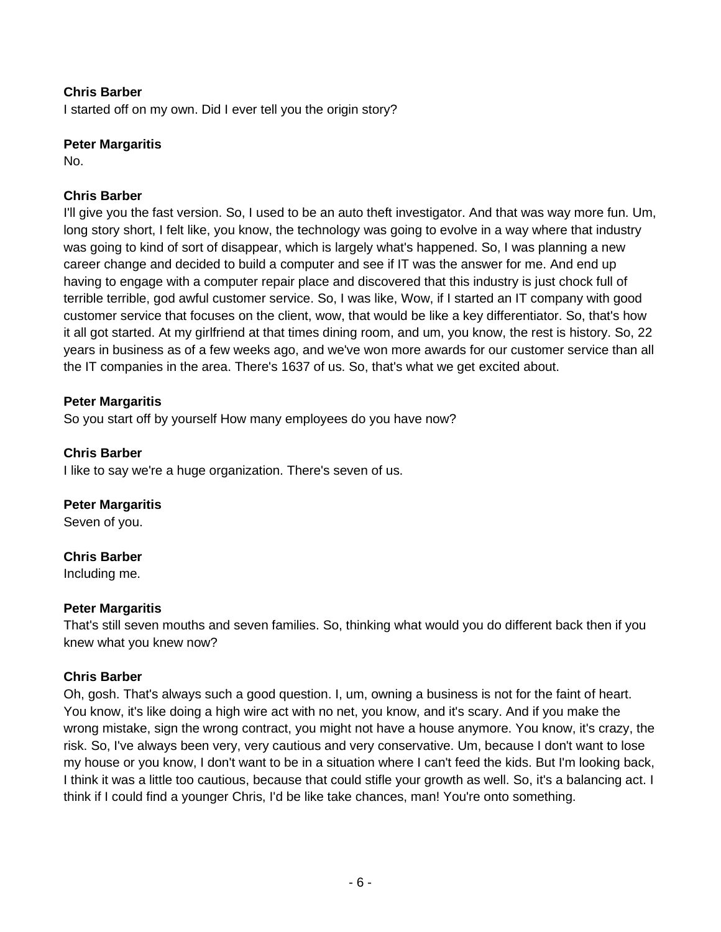# **Chris Barber**

I started off on my own. Did I ever tell you the origin story?

### **Peter Margaritis**

No.

# **Chris Barber**

I'll give you the fast version. So, I used to be an auto theft investigator. And that was way more fun. Um, long story short, I felt like, you know, the technology was going to evolve in a way where that industry was going to kind of sort of disappear, which is largely what's happened. So, I was planning a new career change and decided to build a computer and see if IT was the answer for me. And end up having to engage with a computer repair place and discovered that this industry is just chock full of terrible terrible, god awful customer service. So, I was like, Wow, if I started an IT company with good customer service that focuses on the client, wow, that would be like a key differentiator. So, that's how it all got started. At my girlfriend at that times dining room, and um, you know, the rest is history. So, 22 years in business as of a few weeks ago, and we've won more awards for our customer service than all the IT companies in the area. There's 1637 of us. So, that's what we get excited about.

# **Peter Margaritis**

So you start off by yourself How many employees do you have now?

# **Chris Barber**

I like to say we're a huge organization. There's seven of us.

#### **Peter Margaritis**

Seven of you.

#### **Chris Barber**

Including me.

#### **Peter Margaritis**

That's still seven mouths and seven families. So, thinking what would you do different back then if you knew what you knew now?

#### **Chris Barber**

Oh, gosh. That's always such a good question. I, um, owning a business is not for the faint of heart. You know, it's like doing a high wire act with no net, you know, and it's scary. And if you make the wrong mistake, sign the wrong contract, you might not have a house anymore. You know, it's crazy, the risk. So, I've always been very, very cautious and very conservative. Um, because I don't want to lose my house or you know, I don't want to be in a situation where I can't feed the kids. But I'm looking back, I think it was a little too cautious, because that could stifle your growth as well. So, it's a balancing act. I think if I could find a younger Chris, I'd be like take chances, man! You're onto something.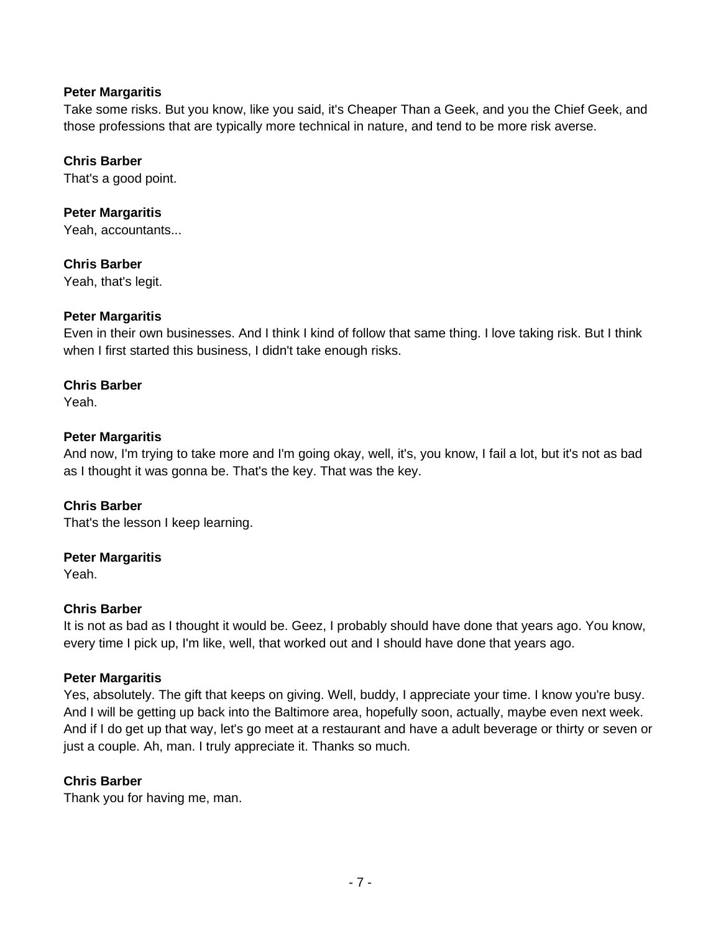Take some risks. But you know, like you said, it's Cheaper Than a Geek, and you the Chief Geek, and those professions that are typically more technical in nature, and tend to be more risk averse.

# **Chris Barber**

That's a good point.

# **Peter Margaritis**

Yeah, accountants...

# **Chris Barber**

Yeah, that's legit.

# **Peter Margaritis**

Even in their own businesses. And I think I kind of follow that same thing. I love taking risk. But I think when I first started this business, I didn't take enough risks.

# **Chris Barber**

Yeah.

# **Peter Margaritis**

And now, I'm trying to take more and I'm going okay, well, it's, you know, I fail a lot, but it's not as bad as I thought it was gonna be. That's the key. That was the key.

#### **Chris Barber**

That's the lesson I keep learning.

#### **Peter Margaritis**

Yeah.

# **Chris Barber**

It is not as bad as I thought it would be. Geez, I probably should have done that years ago. You know, every time I pick up, I'm like, well, that worked out and I should have done that years ago.

#### **Peter Margaritis**

Yes, absolutely. The gift that keeps on giving. Well, buddy, I appreciate your time. I know you're busy. And I will be getting up back into the Baltimore area, hopefully soon, actually, maybe even next week. And if I do get up that way, let's go meet at a restaurant and have a adult beverage or thirty or seven or just a couple. Ah, man. I truly appreciate it. Thanks so much.

#### **Chris Barber**

Thank you for having me, man.